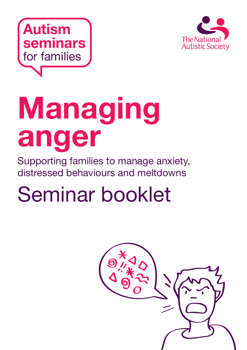



# **Managing anger**

Supporting families to manage anxiety, distressed behaviours and meltdowns

# Seminar booklet

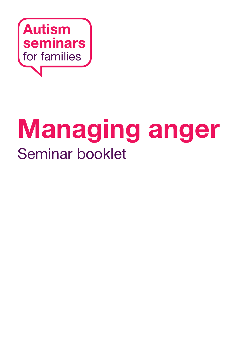

# **Managing anger** Seminar booklet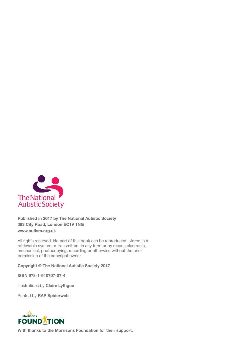

**Published in 2017 by The National Autistic Society 393 City Road, London EC1V 1NG www.autism.org.uk**

All rights reserved. No part of this book can be reproduced, stored in a retrievable system or transmitted, in any form or by means electronic, mechanical, photocopying, recording or otherwise without the prior permission of the copyright owner.

**Copyright © The National Autistic Society 2017**

**ISBN 978-1-910707-07-4**

Illustrations by **Claire Lythgoe**

Printed by **RAP Spiderweb**



**With thanks to the Morrisons Foundation for their support.**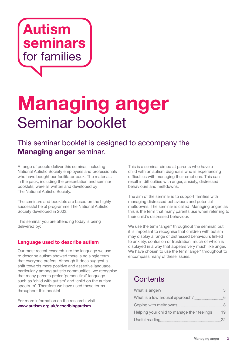

# **Managing anger**  Seminar booklet

### This seminar booklet is designed to accompany the **Managing anger** seminar.

A range of people deliver this seminar, including National Autistic Society employees and professionals who have bought our facilitator pack. The materials in the pack, including the presentation and seminar booklets, were all written and developed by The National Autistic Society.

The seminars and booklets are based on the highly successful help! programme The National Autistic Society developed in 2002.

This seminar you are attending today is being delivered by:

#### **Language used to describe autism**

Our most recent research into the language we use to describe autism showed there is no single term that everyone prefers. Although it does suggest a shift towards more positive and assertive language, particularly among autistic communities, we recognise that many parents prefer 'person-first' language such as 'child with autism' and 'child on the autism spectrum'. Therefore we have used these terms throughout this booklet.

For more information on the research, visit **www.autism.org.uk/describingautism**.

This is a seminar aimed at parents who have a child with an autism diagnosis who is experiencing difficulties with managing their emotions. This can result in difficulties with anger, anxiety, distressed behaviours and meltdowns.

The aim of the seminar is to support families with managing distressed behaviours and potential meltdowns. The seminar is called 'Managing anger' as this is the term that many parents use when referring to their child's distressed behaviour.

We use the term 'anger' throughout the seminar, but it is important to recognise that children with autism may display a range of distressed behaviours linked to anxiety, confusion or frustration, much of which is displayed in a way that appears very much like anger. We have chosen to use the term 'anger' throughout to encompass many of these issues.

### **Contents**

| What is anger?                              |    |
|---------------------------------------------|----|
| What is a low arousal approach?             |    |
| Coping with meltdowns                       |    |
| Helping your child to manage their feelings | 19 |
| Useful reading                              |    |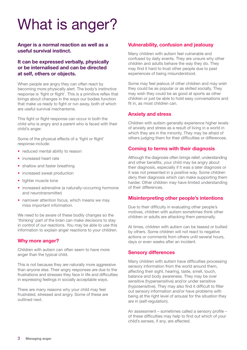# What is anger?

#### **Anger is a normal reaction as well as a useful survival instinct.**

#### **It can be expressed verbally, physically or be internalised and can be directed at self, others or objects.**

When people are angry they can often react by becoming more physically alert. The body's instinctive response is 'fight or flight'. This is a primitive reflex that brings about changes in the ways our bodies function that make us ready to fight or run away, both of which are useful survival mechanisms.

This fight or flight response can occur in both the child who is angry and a parent who is faced with their child's anger.

Some of the physical effects of a 'fight or flight' response include:

- **•** reduced mental ability to reason
- **•** increased heart rate
- **•** shallow and faster breathing
- **•** increased sweat production
- **•** tighter muscle tone
- **•** increased adrenaline (a naturally-occurring hormone and neurotransmitter)
- **•** narrower attention focus, which means we may miss important information.

We need to be aware of these bodily changes so the 'thinking' part of the brain can make decisions to stay in control of our reactions. You may be able to use this information to explain anger reactions to your children.

#### **Why more anger?**

Children with autism can often seem to have more anger than the typical child.

This is not because they are naturally more aggressive than anyone else. Their angry responses are due to the frustrations and stresses they face in life and difficulties in expressing feelings in socially acceptable ways.

There are many reasons why your child may feel frustrated, stressed and angry. Some of these are outlined next.

#### **Vulnerability, confusion and jealousy**

Many children with autism feel vulnerable and confused by daily events. They are unsure why other children and adults behave the way they do. They may find it hard to trust other people due to past experiences of being misunderstood.

Some may feel jealous of other children and may wish they could be as popular or as skilled socially. They may wish they could be as good at sports as other children or just be able to hold easy conversations and fit in, as most children can.

#### **Anxiety and stress**

Children with autism generally experience higher levels of anxiety and stress as a result of living in a world in which they are in the minority. They may be afraid of others judging them for their difficulties or differences.

#### **Coming to terms with their diagnosis**

Although the diagnosis often brings relief, understanding and other benefits, your child may be angry about their diagnosis, especially if it was a later diagnosis or it was not presented in a positive way. Some children deny their diagnosis which can make supporting them harder. Other children may have limited understanding of their differences.

#### **Misinterpreting other people's intentions**

Due to their difficulty in evaluating other people's motives, children with autism sometimes think other children or adults are attacking them personally.

At times, children with autism can be teased or bullied by others. Some children will not react to negative actions or comments from others until several hours, days or even weeks after an incident.

#### **Sensory differences**

Many children with autism have difficulties processing sensory information from the world around them, affecting their sight, hearing, taste, smell, touch, balance and body awareness. They may be over sensitive (hypersensitive) and/or under sensitive (hyposensitive). They may also find it difficult to filter out sensory information and/or have problems with being at the right level of arousal for the situation they are in (self-regulation).

An assessment – sometimes called a sensory profile – of these difficulties may help to find out which of your child's senses, if any, are affected.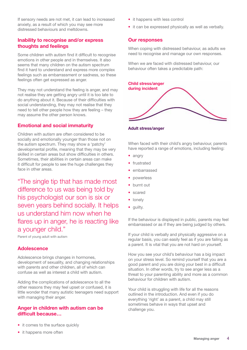If sensory needs are not met, it can lead to increased anxiety, as a result of which you may see more distressed behaviours and meltdowns.

#### **Inability to recognise and/or express thoughts and feelings**

Some children with autism find it difficult to recognise emotions in other people and in themselves. It also seems that many children on the autism spectrum find it hard to understand and express more complex feelings such as embarrassment or sadness, so these feelings often get expressed as anger.

They may not understand the feeling is anger, and may not realise they are getting angry until it is too late to do anything about it. Because of their difficulties with social understanding, they may not realise that they need to tell other people how they are feeling – they may assume the other person knows.

#### **Emotional and social immaturity**

Children with autism are often considered to be socially and emotionally younger than those not on the autism spectrum. They may show a 'patchy' developmental profile, meaning that they may be very skilled in certain areas but show difficulties in others. Sometimes, their abilities in certain areas can make it difficult for people to see the huge challenges they face in other areas.

"The single tip that has made most difference to us was being told by his psychologist our son is six or seven years behind socially. It helps us understand him now when he flares up in anger, he is reacting like a younger child."

Parent of young adult with autism

#### **Adolescence**

Adolescence brings changes in hormones, development of sexuality, and changing relationships with parents and other children, all of which can confuse as well as interest a child with autism.

Adding the complications of adolescence to all the other reasons they may feel upset or confused, it is little wonder that many autistic teenagers need support with managing their anger.

#### **Anger in children with autism can be difficult because…**

- **•** it comes to the surface quickly
- **•** it happens more often
- **•** it happens with less control
- **•** it can be expressed physically as well as verbally.

#### **Our responses**

When coping with distressed behaviour, as adults we need to recognise and manage our own responses.

When we are faced with distressed behaviour, our behaviour often takes a predictable path:

| <b>Child stress/anger</b><br>during incident |  |
|----------------------------------------------|--|
|                                              |  |
|                                              |  |

**Adult stress/anger**

When faced with their child's angry behaviour, parents have reported a range of emotions, including feeling:

- **•** angry
- frustrated
- embarrassed
- **•** powerless
- burnt out
- **•** scared
- **•** lonely
- **•** guilty.

If the behaviour is displayed in public, parents may feel embarrassed or as if they are being judged by others.

If your child is verbally and physically aggressive on a regular basis, you can easily feel as if you are failing as a parent. It is vital that you are not hard on yourself.

How you see your child's behaviour has a big impact on your stress level. So remind yourself that you are a good parent and you are doing your best in a difficult situation. In other words, try to see anger less as a threat to your parenting ability and more as a common behaviour for children with autism.

Your child is struggling with life for all the reasons outlined in the introduction. And even if you do everything 'right' as a parent, a child may still sometimes behave in ways that upset and challenge you.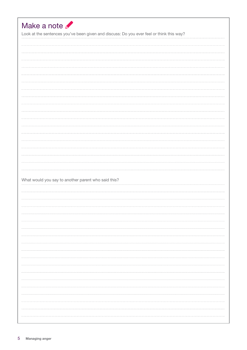| Look at the sentences you've been given and discuss: Do you ever feel or think this way? |  |  |  |
|------------------------------------------------------------------------------------------|--|--|--|
|                                                                                          |  |  |  |
|                                                                                          |  |  |  |
|                                                                                          |  |  |  |
|                                                                                          |  |  |  |
|                                                                                          |  |  |  |
|                                                                                          |  |  |  |
|                                                                                          |  |  |  |
|                                                                                          |  |  |  |
|                                                                                          |  |  |  |
|                                                                                          |  |  |  |
|                                                                                          |  |  |  |
|                                                                                          |  |  |  |
|                                                                                          |  |  |  |
|                                                                                          |  |  |  |
|                                                                                          |  |  |  |
|                                                                                          |  |  |  |
|                                                                                          |  |  |  |
|                                                                                          |  |  |  |
|                                                                                          |  |  |  |
|                                                                                          |  |  |  |
|                                                                                          |  |  |  |
| What would you say to another parent who said this?                                      |  |  |  |
|                                                                                          |  |  |  |
|                                                                                          |  |  |  |
|                                                                                          |  |  |  |
|                                                                                          |  |  |  |
|                                                                                          |  |  |  |
|                                                                                          |  |  |  |
|                                                                                          |  |  |  |
|                                                                                          |  |  |  |
|                                                                                          |  |  |  |
|                                                                                          |  |  |  |
|                                                                                          |  |  |  |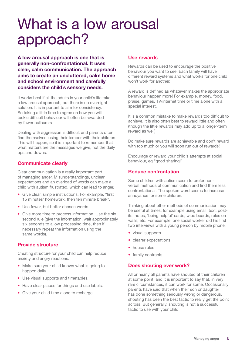## What is a low arousal approach?

**A low arousal approach is one that is generally non-confrontational. It uses clear, calm communication. The approach aims to create an uncluttered, calm home and school environment and carefully considers the child's sensory needs.** 

It works best if all the adults in your child's life take a low arousal approach, but there is no overnight solution. It is important to aim for consistency. So taking a little time to agree on how you will tackle difficult behaviour will often be rewarded by fewer outbursts.

Dealing with aggression is difficult and parents often find themselves losing their temper with their children. This will happen, so it is important to remember that what matters are the messages we give, not the daily ups and downs.

#### **Communicate clearly**

Clear communication is a really important part of managing anger. Misunderstandings, unclear expectations and an overload of words can make a child with autism frustrated, which can lead to anger.

- **•** Give clear, simple instructions. For example, "first 15 minutes' homework, then ten minute break".
- **•** Use fewer, but better chosen words.
- **•** Give more time to process information. Use the six second rule (give the information, wait approximately six seconds to allow processing time, then if necessary repeat the information using the same words).

#### **Provide structure**

Creating structure for your child can help reduce anxiety and angry reactions.

- **•** Make sure your child knows what is going to happen daily.
- **•** Use visual supports and timetables.
- **•** Have clear places for things and use labels.
- **•** Give your child time alone to recharge.

#### **Use rewards**

Rewards can be used to encourage the positive behaviour you want to see. Each family will have different reward systems and what works for one child won't work for another.

A reward is defined as whatever makes the appropriate behaviour happen more! For example, money, food, praise, games, TV/internet time or time alone with a special interest.

It is a common mistake to make rewards too difficult to achieve. It is also often best to reward little and often (though the little rewards may add up to a longer-term reward as well).

Do make sure rewards are achievable and don't reward with too much or you will soon run out of rewards!

Encourage or reward your child's attempts at social behaviour, eg "good sharing!"

#### **Reduce confrontation**

Some children with autism seem to prefer nonverbal methods of communication and find them less confrontational. The spoken word seems to increase annoyance for some children.

Thinking about other methods of communication may be useful at times, for example using email, text, postits, notes, 'being helpful' cards, wipe boards, rules on walls, etc. For example, one social worker did his first two interviews with a young person by mobile phone!

- **•** visual supports
- **•** clearer expectations
- **•** house rules
- **•** family contracts.

#### **Does shouting ever work?**

All or nearly all parents have shouted at their children at some point, and it is important to say that, in very rare circumstances, it can work for some. Occasionally parents have said that when their son or daughter has done something seriously wrong or dangerous, shouting has been the best tactic to really get the point across. But generally, shouting is not a successful tactic to use with your child.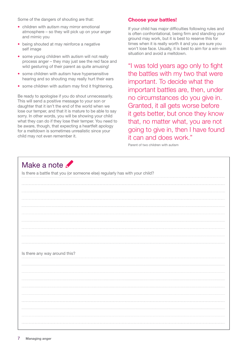Some of the dangers of shouting are that:

- **•** children with autism may mirror emotional atmosphere – so they will pick up on your anger and mimic you
- **•** being shouted at may reinforce a negative self image
- **•** some young children with autism will not really process anger – they may just see the red face and wild gesturing of their parent as quite amusing!
- **•** some children with autism have hypersensitive hearing and so shouting may really hurt their ears
- **•** some children with autism may find it frightening.

Be ready to apologise if you do shout unnecessarily. This will send a positive message to your son or daughter that it isn't the end of the world when we lose our temper, and that it is mature to be able to say sorry. In other words, you will be showing your child what they can do if they lose their temper. You need to be aware, though, that expecting a heartfelt apology for a meltdown is sometimes unrealistic since your child may not even remember it.

#### **Choose your battles!**

If your child has major difficulties following rules and is often confrontational, being firm and standing your ground may work, but it is best to reserve this for times when it is really worth it and you are sure you won't lose face. Usually, it is best to aim for a win-win situation and avoid a meltdown.

"I was told years ago only to fight the battles with my two that were important. To decide what the important battles are, then, under no circumstances do you give in. Granted, it all gets worse before it gets better, but once they know that, no matter what, you are not going to give in, then I have found it can and does work."

Parent of two children with autism

### Make a note **P**

|                               | Is there a battle that you (or someone else) regularly has with your child? |  |  |
|-------------------------------|-----------------------------------------------------------------------------|--|--|
|                               |                                                                             |  |  |
|                               |                                                                             |  |  |
|                               |                                                                             |  |  |
|                               |                                                                             |  |  |
|                               |                                                                             |  |  |
|                               |                                                                             |  |  |
|                               |                                                                             |  |  |
|                               |                                                                             |  |  |
|                               |                                                                             |  |  |
|                               |                                                                             |  |  |
|                               |                                                                             |  |  |
| Is there any way around this? |                                                                             |  |  |
|                               |                                                                             |  |  |
|                               |                                                                             |  |  |
|                               |                                                                             |  |  |
|                               |                                                                             |  |  |
|                               |                                                                             |  |  |
|                               |                                                                             |  |  |
|                               |                                                                             |  |  |
|                               |                                                                             |  |  |
|                               |                                                                             |  |  |
|                               |                                                                             |  |  |
|                               |                                                                             |  |  |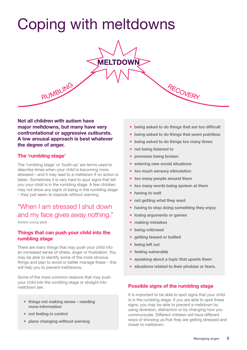# Coping with meltdowns



**Not all children with autism have major meltdowns, but many have very confrontational or aggressive outbursts. A low arousal approach is best whatever the degree of anger.** 

#### **The 'rumbling stage'**

The 'rumbling stage' or 'build-up' are terms used to describe times when your child is becoming more stressed – and it may lead to a meltdown if no action is taken. Sometimes it is very hard to spot signs that tell you your child is in the rumbling stage. A few children may not show any signs of being in the rumbling stage – they just seem to explode without warning.

### "When I am stressed I shut down and my face gives away nothing."

Autistic young adult

#### **Things that can push your child into the rumbling stage**

There are many things that may push your child into an increased sense of stress, anger or frustration. You may be able to identify some of the more obvious things and plan to avoid or better manage these – this will help you to prevent meltdowns.

Some of the more common reasons that may push your child into the rumbling stage or straight into meltdown are: **Possible signs of the rumbling stage** 

- **things not making sense needing more information**
- **not feeling in control**
- **plans changing without warning**
- **being asked to do things that are too difficult**
- **being asked to do things that seem pointless**
- **being asked to do things too many times**
- **not being listened to**
- **promises being broken**
- **entering new social situations**
- **too much sensory stimulation**
- **too many people around them**
- **too many words being spoken at them**
- **having to wait**
- **not getting what they want**
- **having to stop doing something they enjoy**
- **losing arguments or games**
- **making mistakes**
- **being criticised**
- **getting teased or bullied**
- **being left out**
- **feeling vulnerable**
- **speaking about a topic that upsets them**
- **situations related to their phobias or fears.**

It is important to be able to spot signs that your child is in the rumbling stage. If you are able to spot these signs, you may be able to prevent a meltdown by using diversion, distraction or by changing how you communicate. Different children will have different ways of showing us that they are getting stressed and closer to meltdown.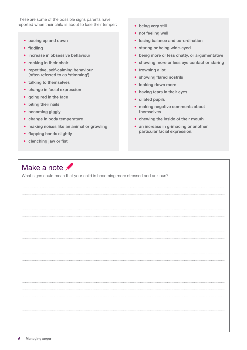These are some of the possible signs parents have reported when their child is about to lose their temper:

- **• pacing up and down**
- **• fiddling**
- **• increase in obsessive behaviour**
- **• rocking in their chair**
- **• repetitive, self-calming behaviour (often referred to as 'stimming')**
- **• talking to themselves**
- **• change in facial expression**
- **• going red in the face**
- **• biting their nails**
- **• becoming giggly**
- **• change in body temperature**
- **• making noises like an animal or growling**
- **• flapping hands slightly**
- **• clenching jaw or fist**
- **• being very still**
- **• not feeling well**
- **• losing balance and co-ordination**
- **• staring or being wide-eyed**
- **• being more or less chatty, or argumentative**
- **• showing more or less eye contact or staring**
- **• frowning a lot**
- **• showing flared nostrils**
- **• looking down more**
- **• having tears in their eyes**
- **• dilated pupils**
- **• making negative comments about themselves**
- **• chewing the inside of their mouth**
- **• an increase in grimacing or another particular facial expression.**

### Make a note  $\mathscr I$

What signs could mean that your child is becoming more stressed and anxious?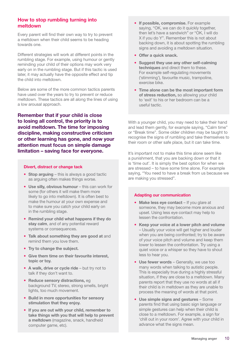#### **How to stop rumbling turning into meltdown**

Every parent will find their own way to try to prevent a meltdown when their child seems to be heading towards one.

Different strategies will work at different points in the rumbling stage. For example, using humour or gently reminding your child of their options may work very early on in the rumbling stage. But if this tactic is used later, it may actually have the opposite effect and tip the child into meltdown.

Below are some of the more common tactics parents have used over the years to try to prevent or reduce meltdown. These tactics are all along the lines of using a low arousal approach.

**Remember that if your child is close to losing all control, the priority is to avoid meltdown. The time for imposing discipline, making constructive criticism or other learning has gone, and now your attention must focus on simple damage limitation – saving face for everyone.**

#### **Divert, distract or change tack**

- **Stop arguing** this is always a good tactic as arguing often makes things worse.
- Use silly, obvious humour this can work for some (for others it will make them more likely to go into meltdown). It is often best to make the humour at your own expense and to make sure you catch your child early on in the rumbling stage.
- **• Remind your child what happens if they do stay calm**, and of any potential reward systems or consequences.
- **• Talk about something they are good at** and remind them you love them.
- **• Try to change the subject.**
- **• Give them time on their favourite interest, topic or toy.**
- A walk, drive or cycle ride but try not to talk if they don't want to.
- **• Reduce sensory distractions,** eg background TV, stereo, strong smells, bright lights, too much movement.
- **• Build in more opportunities for sensory stimulation that they enjoy.**
- **• If you are out with your child, remember to take things with you that will help to prevent a meltdown** (magazine, snack, handheld computer game, etc).
- **• If possible, compromise.** For example saying, "OK, we can do it quickly together, then let's have a sandwich" or "OK, I will do X if you do Y". Remember this is not about backing down, it is about spotting the rumbling signs and avoiding a meltdown situation.
- **• Offer a quick snack.**
- **• Suggest they use any other self-calming techniques** and direct them to these. For example self-regulating movements ('stimming'), favourite music, trampoline, exercise bike.
- **• Time alone can be the most important form of stress reduction,** so allowing your child to 'exit' to his or her bedroom can be a useful tactic.

With a younger child, you may need to take their hand and lead them gently, for example saying, "Calm time" or "Break time". Some older children may be taught to recognise the signs of rumbling and take themselves to their room or other safe place, but it can take time.

It's important not to make this time alone seem like a punishment, that you are backing down or that it is 'time out'. It is simply the best option for when we are stressed – to have some time alone. For example saying, "You need to have a break from us because we are making you stressed".

#### **Adapting our communication**

- Make less eye contact If you glare at someone, they may become more anxious and upset. Using less eye contact may help to lessen the confrontation.
- **• Keep your voice at a lower pitch and volume**  – Usually your voice will get higher and louder when you are being confronted; try to be aware of your voice pitch and volume and keep them lower to lessen the confrontation. Try using a quiet voice or a whisper so they have to shout less to hear you.
- **• Use fewer words**  Generally, we use too many words when talking to autistic people. This is especially true during a highly stressful situation, if they are close to a meltdown. Many parents report that they use no words at all if their child is in meltdown as they are unable to process the meaning of words at that point.
- **• Use simple signs and gestures**  Some parents find that using basic sign language or simple gestures can help when their child is close to a meltdown. For example, a sign for 'chill out in your room'. Agree with your child in advance what the signs mean.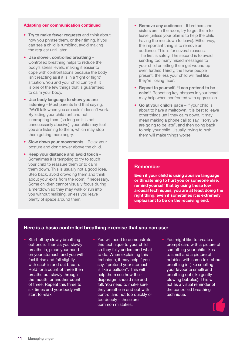#### **Adapting our communication continued**

- **• Try to make fewer requests** and think about how you phrase them, or their timing. If you can see a child is rumbling, avoid making the request until later.
- **• Use slower, controlled breathing**  Controlled breathing helps to reduce the body's stress levels, making it easier to cope with confrontations because the body isn't reacting as if it is in a 'fight or flight' situation. You and your child can try it. It is one of the few things that is guaranteed to calm your body.
- **• Use body language to show you are listening** – Most parents find that saying, "We'll talk when you are calm" doesn't work. By letting your child rant and not interrupting them (so long as it is not unnecessarily abusive), your child may feel you are listening to them, which may stop them getting more angry.
- **• Slow down your movements** Relax your posture and don't tower above the child.
- **• Keep your distance and avoid touch** Sometimes it is tempting to try to touch your child to reassure them or to calm them down. This is usually not a good idea. Step back, avoid crowding them and think about your exits from the room, if necessary. Some children cannot visually focus during a meltdown so they may walk or run into you without realising, unless you leave plenty of space around them.
- **• Remove any audience**  If brothers and sisters are in the room, try to get them to leave (unless your plan is to help the child having the meltdown to leave). Either way, the important thing is to remove an audience. This is for several reasons. The first is safety. The second is to avoid sending too many mixed messages to your child or letting them get wound up even further. Thirdly, the fewer people present, the less your child will feel like they're 'losing face'.
- **• Repeat to yourself, "I can pretend to be calm!"** Repeating key phrases in your head may help when confronted with aggression.
- **• Go at your child's pace** If your child is about to have a meltdown, it is best to leave other things until they calm down. It may mean making a phone call to say, "sorry we are going to be late", and then going back to help your child. Usually, trying to rush them will make things worse.

#### **Remember**

**Even if your child is using abusive language or threatening to hurt you or someone else, remind yourself that by using these low arousal techniques, you are at least doing the right thing, even if sometimes it is extremely unpleasant to be on the receiving end.**

#### **Here is a basic controlled breathing exercise that you can use:**

- **•** Start off by slowly breathing out once. Then as you slowly breathe in, place your hand on your stomach and you will feel it rise and fall slightly with each in and out breath. Hold for a count of three then breathe out slowly through the mouth for another count of three. Repeat this three to six times and your body will start to relax.
- **•** You will need to demonstrate this technique to your child so they fully understand what to do. When explaining this technique, it may help if you say, "pretend your stomach is like a balloon". This will help them see how their diaphragm should rise and fall. You need to make sure they breathe in and out with control and not too quickly or too deeply – these are common mistakes.
- **•** You might like to create a prompt card with a picture of something your child likes to smell and a picture of bubbles with some text about breathing in (like smelling your favourite smell) and breathing out (like gently blowing bubbles). This will act as a visual reminder of the controlled breathing technique.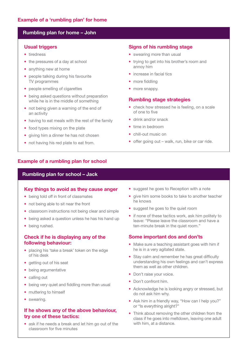#### **Rumbling plan for home – John**

#### **Usual triggers**

- **•** tiredness
- the pressures of a day at school
- **•** anything new at home
- **•** people talking during his favourite TV programmes
- **•** people smelling of cigarettes
- **•** being asked questions without preparation while he is in the middle of something
- not being given a warning of the end of an activity
- **•** having to eat meals with the rest of the family
- **•** food types mixing on the plate
- **•** giving him a dinner he has not chosen
- **•** not having his red plate to eat from.

#### **Signs of his rumbling stage**

- **•** swearing more than usual
- **•** trying to get into his brother's room and annoy him
- **•** increase in facial tics
- **•** more fiddling
- **•** more snappy.

#### **Rumbling stage strategies**

- **•** check how stressed he is feeling, on a scale of one to five
- **•** drink and/or snack
- **•** time in bedroom
- **•** chill-out music on
- **•** offer going out walk, run, bike or car ride.

#### **Example of a rumbling plan for school**

#### **Rumbling plan for school – Jack**

#### **Key things to avoid as they cause anger**

- **•** being told off in front of classmates
- **•** not being able to sit near the front
- **•** classroom instructions not being clear and simple
- **•** being asked a question unless he has his hand up
- **•** being rushed.

#### **Check if he is displaying any of the following behaviour:**

- **•** placing his 'take a break' token on the edge of his desk
- **•** getting out of his seat
- **•** being argumentative
- **•** calling out
- being very quiet and fiddling more than usual
- **•** muttering to himself
- **•** swearing.

#### **If he shows any of the above behaviour, try one of these tactics:**

**•** ask if he needs a break and let him go out of the classroom for five minutes

- **•** suggest he goes to Reception with a note
- **•** give him some books to take to another teacher he knows
- **•** suggest he goes to the quiet room
- **•** if none of these tactics work, ask him politely to leave: "Please leave the classroom and have a ten-minute break in the quiet room."

#### **Some important dos and don'ts**

- **•** Make sure a teaching assistant goes with him if he is in a very agitated state.
- **•** Stay calm and remember he has great difficulty understanding his own feelings and can't express them as well as other children.
- **•** Don't raise your voice.
- **•** Don't confront him.
- **•** Acknowledge he is looking angry or stressed, but do not ask him why.
- **•** Ask him in a friendly way, "How can I help you?" or "Is everything alright?"
- **•** Think about removing the other children from the class if he goes into meltdown, leaving one adult with him, at a distance.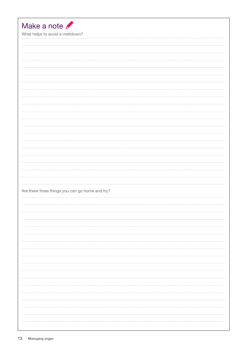| Make a note<br>What helps to avoid a meltdown? |                                                 |  |
|------------------------------------------------|-------------------------------------------------|--|
|                                                |                                                 |  |
|                                                |                                                 |  |
|                                                |                                                 |  |
|                                                |                                                 |  |
|                                                |                                                 |  |
|                                                |                                                 |  |
|                                                |                                                 |  |
|                                                |                                                 |  |
|                                                |                                                 |  |
|                                                |                                                 |  |
|                                                |                                                 |  |
|                                                |                                                 |  |
|                                                |                                                 |  |
|                                                |                                                 |  |
|                                                |                                                 |  |
|                                                |                                                 |  |
|                                                |                                                 |  |
|                                                |                                                 |  |
|                                                | Are there three things you can go home and try? |  |
|                                                |                                                 |  |
|                                                |                                                 |  |
|                                                |                                                 |  |
|                                                |                                                 |  |
|                                                |                                                 |  |
|                                                |                                                 |  |
|                                                |                                                 |  |
|                                                |                                                 |  |
|                                                |                                                 |  |
|                                                |                                                 |  |
|                                                |                                                 |  |
|                                                |                                                 |  |
|                                                |                                                 |  |
|                                                |                                                 |  |
|                                                |                                                 |  |
|                                                |                                                 |  |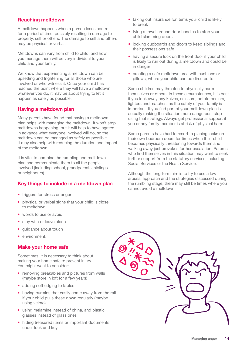#### **Reaching meltdown**

A meltdown happens when a person loses control for a period of time, possibly resulting in damage to property, self or others. The damage to self and others may be physical or verbal.

Meltdowns can vary from child to child, and how you manage them will be very individual to your child and your family.

We know that experiencing a meltdown can be upsetting and frightening for all those who are involved or who witness it. Once your child has reached the point where they will have a meltdown whatever you do, it may be about trying to let it happen as safely as possible.

#### **Having a meltdown plan**

Many parents have found that having a meltdown plan helps with managing the meltdown. It won't stop meltdowns happening, but it will help to have agreed in advance what everyone involved will do, so the meltdown can be managed as safely as possible. It may also help with reducing the duration and impact of the meltdown.

It is vital to combine the rumbling and meltdown plan and communicate them to all the people involved (including school, grandparents, siblings or neighbours).

#### **Key things to include in a meltdown plan**

- triggers for stress or anger
- **•** physical or verbal signs that your child is close to meltdown
- **•** words to use or avoid
- **•** stay with or leave alone
- **•** guidance about touch
- **•** environment.

#### **Make your home safe**

Sometimes, it is necessary to think about making your home safe to prevent injury. You might want to consider:

- **•** removing breakables and pictures from walls (maybe store in loft for a few years)
- **•** adding soft edging to tables
- **•** having curtains that easily come away from the rail if your child pulls these down regularly (maybe using velcro)
- **•** using melamine instead of china, and plastic glasses instead of glass ones
- **•** hiding treasured items or important documents under lock and key
- **•** taking out insurance for items your child is likely to break
- **•** tying a towel around door handles to stop your child slamming doors
- **•** locking cupboards and doors to keep siblings and their possessions safe
- **•** having a secure lock on the front door if your child is likely to run out during a meltdown and could be in danger
- **•** creating a safe meltdown area with cushions or pillows, where your child can be directed to.

Some children may threaten to physically harm themselves or others. In these circumstances, it is best if you lock away any knives, scissors, potato peelers, lighters and matches, as the safety of your family is important. If you find part of your meltdown plan is actually making the situation more dangerous, stop using that strategy. Always get professional support if you or any family member is at risk of physical harm.

Some parents have had to resort to placing locks on their own bedroom doors for times when their child becomes physically threatening towards them and walking away just provokes further escalation. Parents who find themselves in this situation may want to seek further support from the statutory services, including Social Services or the Health Service.

Although the long-term aim is to try to use a low arousal approach and the strategies discussed during the rumbling stage, there may still be times where you cannot avoid a meltdown.

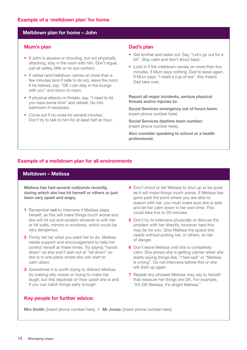#### **Meltdown plan for home – John**

#### **Mum's plan**

- **•** If John is abusive or shouting, but not physically attacking, stay in the room with him. Don't argue, just sit safely, little or no eye contact.
- **•** If verbal rant/meltdown carries on more than a few minutes (and if safe to do so), leave the room. If he follows, say, "OK I can stay in the lounge with you" and return to room.
- **•** If physical attacks or threats, say, "I need to let you have some time" and retreat. Go into bathroom if necessary.
- **•** Come out if no noise for several minutes. Don't try to talk to him for at least half an hour.

#### **Dad's plan**

- **•** Get brother and sister out. Say, "Let's go out for a bit". Stay calm and don't shout back.
- **•** Look in if the meltdown carries on more than five minutes. If Mum says nothing, Dad to leave again. If Mum says, "I need a cup of tea", this means Dad take over.

**Report all major incidents, serious physical threats and/or injuries to:**

**Social Services emergency out of hours team:**  (insert phone number here)

**Social Services daytime team number:**  (insert phone number here)**.**

**Also consider speaking to school or a health professional.** 

#### **Example of a meltdown plan for all environments**

#### **Meltdown – Melissa**

**Melissa has had several outbursts recently, during which she has hit herself or others or just been very upset and angry.** 

- **1** Remember **not** to intervene if Melissa slaps herself, as this will make things much worse and she will hit out and scratch whoever is with her or hit walls, mirrors or windows, which could be very dangerous.
- **2** Firmly tell her what you want her to do. Melissa needs support and encouragement to help her control herself at these times. Try saying "hands down" so she won't lash out or "sit down" so she is in one place where she can start to calm down.
- **3** Sometimes it is worth trying to distract Melissa by making silly noises or trying to make her laugh, but this depends on how upset she is and if you can catch things early enough.
- **4** Don't shout or tell Melissa to shut up or be quiet as it will make things much worse. If Melissa has gone past the point where you are able to reason with her, you must make sure she is safe and let her calm down in her own time. This could take five to 20 minutes.
- **5** Don't try to intervene physically or discuss the problem with her directly, however hard this may be for you. Give Melissa the space she needs without putting her, or others, at risk of danger.
- **6** Don't leave Melissa until she is completely calm. She shows she is getting calmer when she starts saying things like, "I feel sad" or "Melissa is crying". Do not intervene before this or she will start up again.
- **7** Repeat any phrases Melissa may say to herself that reassure her things are OK. For example, "It's OK Melissa, it's alright Melissa."

**Key people for further advice:**

**Mrs Smith:** [insert phone number here] **| Mr Jones:** [insert phone number here]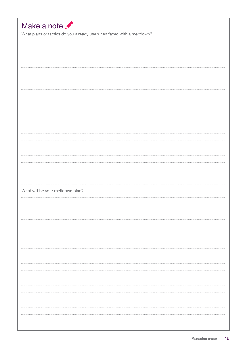| Make a note                      | What plans or tactics do you already use when faced with a meltdown? |
|----------------------------------|----------------------------------------------------------------------|
|                                  |                                                                      |
|                                  |                                                                      |
|                                  |                                                                      |
|                                  |                                                                      |
|                                  |                                                                      |
|                                  |                                                                      |
|                                  |                                                                      |
|                                  |                                                                      |
|                                  |                                                                      |
|                                  |                                                                      |
|                                  |                                                                      |
|                                  |                                                                      |
|                                  |                                                                      |
|                                  |                                                                      |
|                                  |                                                                      |
|                                  |                                                                      |
| What will be your meltdown plan? |                                                                      |
|                                  |                                                                      |
|                                  |                                                                      |
|                                  |                                                                      |
|                                  |                                                                      |
|                                  |                                                                      |
|                                  |                                                                      |
|                                  |                                                                      |
|                                  |                                                                      |
|                                  |                                                                      |
|                                  |                                                                      |
|                                  |                                                                      |
|                                  |                                                                      |
|                                  |                                                                      |
|                                  |                                                                      |
|                                  |                                                                      |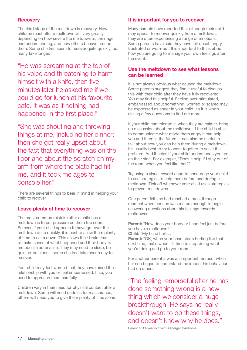#### **Recovery**

The third stage of the meltdown is recovery. How children react after a meltdown will vary greatly, depending on how severe the meltdown is, their age and understanding, and how others behave around them. Some children seem to recover quite quickly, but many take longer.

"He was screaming at the top of his voice and threatening to harm himself with a knife, then five minutes later he asked me if we could go for lunch at his favourite café. It was as if nothing had happened in the first place."

"She was shouting and throwing things at me, including her dinner; then she got really upset about the fact that everything was on the floor and about the scratch on my arm from where the plate had hit me, and it took me ages to console her."

There are several things to bear in mind in helping your child to recover.

#### **Leave plenty of time to recover**

The most common mistake after a child has a meltdown is to put pressure on them too soon. So even if your child appears to have got over the meltdown quite quickly, it is best to allow them plenty of time to calm down. This allows their brain time to make sense of what happened and their body to metabolise adrenaline. They may need to sleep, be quiet or be alone – some children take over a day to recover.

Your child may feel worried that they have ruined their relationship with you or feel embarrassed. If so, you need to approach them carefully.

Children vary in their need for physical contact after a meltdown. Some will need cuddles for reassurance; others will need you to give them plenty of time alone.

#### **It is important for you to recover**

Many parents have reported that although their child may appear to recover quickly from a meltdown, they are often experiencing a range of emotions. Some parents have said they have felt upset, angry, frustrated or worn-out. It is important to think about how you are going to manage your own feelings after the event.

#### **Use the meltdown to see what lessons can be learned**

It is not always obvious what caused the meltdown. Some parents suggest they find it useful to discuss this with their child after they have fully recovered. You may find this helpful. Feeling over-stimulated, embarrassed about something, worried or scared may be expressed as anger in your child, so it is worth asking a few questions to find out more.

If your child can tolerate it, when they are calmer, bring up discussion about the meltdown. If the child is able to communicate what made them angry it can help you and them in the future. It can also be useful to talk about how you can help them during a meltdown. It's usually best to try to work together to solve the problem. And it helps if your child understands you are on their side. For example, "Does it help if I stay out of the room when you feel like that?"

Try using a visual reward chart to encourage your child to use strategies to help them before and during a meltdown. Tick off whenever your child uses strategies to prevent meltdowns.

One parent felt she had reached a breakthrough moment when her son was mature enough to begin answering questions about his feelings towards meltdowns:

Parent: "How does your body or head feel just before you have a meltdown?"

**Child:** "My head hurts…"

Parent: "OK, when your head starts hurting like that next time, that's when it's time to stop doing what you're doing and go to your room."

For another parent it was an important moment when her son began to understand the impact his behaviour had on others:

"The feeling remorseful after he has done something wrong is a new thing which we consider a huge breakthrough. He says he really doesn't want to do these things, and doesn't know why he does."

Parent of 11-year-old with Asperger syndrome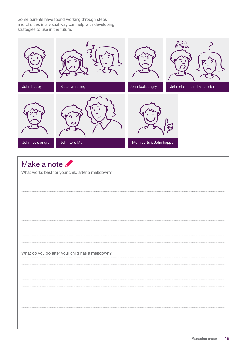Some parents have found working through steps and choices in a visual way can help with developing strategies to use in the future.



### Make a note

What works best for your child after a meltdown? What do you do after your child has a meltdown?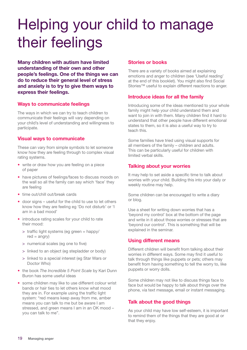# Helping your child to manage their feelings

**Many children with autism have limited understanding of their own and other people's feelings. One of the things we can do to reduce their general level of stress and anxiety is to try to give them ways to express their feelings.** 

#### **Ways to communicate feelings**

The ways in which we can try to teach children to communicate their feelings will vary depending on your child's level of understanding and willingness to participate.

#### **Visual ways to communicate**

These can vary from simple symbols to let someone know how they are feeling through to complex visual rating systems.

- **•** write or draw how you are feeling on a piece of paper
- **•** have pictures of feelings/faces to discuss moods on the wall so all the family can say which 'face' they are feeling
- **•** time out/chill out/break cards
- **•** door signs useful for the child to use to let others know how they are feeling eg 'Do not disturb' or 'I am in a bad mood'
- **•** introduce rating scales for your child to rate their mood:
	- > traffic light systems (eg green = happy/  $red =$ angry)
	- > numerical scales (eg one to five)
	- > linked to an object (eg stepladder or body)
	- > linked to a special interest (eg Star Wars or Doctor Who)
- **•** the book *The Incredible 5 Point Scale* by Kari Dunn Buron has some useful ideas
- **•** some children may like to use different colour wrist bands or hair ties to let others know what mood they are in. For example using the traffic light system: "red means keep away from me, amber means you can talk to me but be aware I am stressed, and green means I am in an OK mood – you can talk to me".

#### **Stories or books**

There are a variety of books aimed at explaining emotions and anger to children (see 'Useful reading' at the end of this booklet). You might also find Social Stories™ useful to explain different reactions to anger.

#### **Introduce ideas for all the family**

Introducing some of the ideas mentioned to your whole family might help your child understand them and want to join in with them. Many children find it hard to understand that other people have different emotional states to them, so it is also a useful way to try to teach this.

Some families have tried using visual supports for all members of the family – children and adults. This can be particularly useful for children with limited verbal skills.

#### **Talking about your worries**

It may help to set aside a specific time to talk about worries with your child. Building this into your daily or weekly routine may help.

Some children can be encouraged to write a diary or blog.

Use a sheet for writing down worries that has a 'beyond my control' box at the bottom of the page and write in it about those worries or stresses that are 'beyond our control'. This is something that will be explained in the seminar.

#### **Using different means**

Different children will benefit from talking about their worries in different ways. Some may find it useful to talk through things like puppets or pets; others may benefit from having something to tell the worry to, like puppets or worry dolls.

Some children may not like to discuss things face to face but would be happy to talk about things over the phone, via text message, email or instant messaging.

#### **Talk about the good things**

As your child may have low self-esteem, it is important to remind them of the things that they are good at or that they enjoy.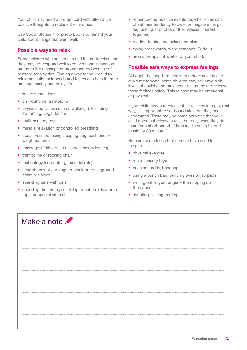Your child may need a prompt card with alternative positive thoughts to replace their worries.

Use Social Stories™ or photo books to remind your child about things that went well.

#### **Possible ways to relax**

Some children with autism can find it hard to relax, and they may not respond well to conventional relaxation methods like massage or aromatherapy because of sensory sensitivities. Finding a way for your child to relax that suits their needs and tastes can help them to manage anxiety and enjoy life.

Here are some ideas.

- **•** chill-out time, time alone
- **•** physical activities such as walking, bike-riding, swimming, yoga, tai chi
- **•** multi-sensory toys
- **•** muscle relaxation or controlled breathing
- **•** deep-pressure (using sleeping bag, cushions or weighted items)
- **•** massage (if this doesn't cause sensory issues)
- **•** trampoline or rocking chair
- **•** technology (computer games, tablets)
- **•** headphones or earplugs to block out background noise or voices
- **•** spending time with pets
- **•** spending time doing or talking about their favourite topic or special interest
- **•** remembering positive events together this can offset their tendency to dwell on negative things (eg looking at photos or their special interest together)
- **•** reading books, magazines, comics
- **•** doing crosswords, word searches, Sudoku
- **•** aromatherapy if it works for your child.

#### **Possible safe ways to express feelings**

Although the long-term aim is to reduce anxiety and avoid meltdowns, some children may still have high levels of anxiety and may need to learn how to release those feelings safely. This release may be emotional or physical.

If your child needs to release their feelings in a physical way, it's important to set boundaries that they can understand. There may be some activities that your child does that release stress, but only when they do them for a short period of time (eg listening to loud music for 30 minutes).

Here are some ideas that parents have used in the past.

- **•** physical exercise
- **•** multi-sensory toys
- **•** cushion, teddy, beanbag
- **•** using a punch bag, punch gloves or jab pads
- **•** writing out all your anger then ripping up the paper
- **•** shouting, talking, ranting!

### Make a note **M**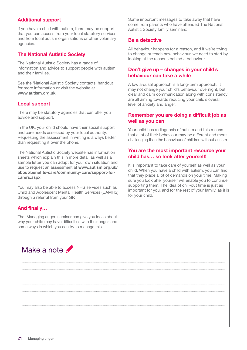#### **Additional support**

If you have a child with autism, there may be support that you can access from your local statutory services and from local autism organisations or other voluntary agencies.

#### **The National Autistic Society**

The National Autistic Society has a range of information and advice to support people with autism and their families.

See the 'National Autistic Society contacts' handout for more information or visit the website at **www.autism.org.uk**.

#### **Local support**

There may be statutory agencies that can offer you advice and support.

In the UK, your child should have their social support and care needs assessed by your local authority. Requesting the assessment in writing is always better than requesting it over the phone.

The National Autistic Society website has information sheets which explain this in more detail as well as a sample letter you can adapt for your own situation and use to request an assessment at **www.autism.org.uk/ about/benefits-care/community-care/support-forcarers.aspx**

You may also be able to access NHS services such as Child and Adolescent Mental Health Services (CAMHS) through a referral from your GP.

#### **And finally…**

The 'Managing anger' seminar can give you ideas about why your child may have difficulties with their anger, and some ways in which you can try to manage this.

Some important messages to take away that have come from parents who have attended The National Autistic Society family seminars:

#### **Be a detective**

All behaviour happens for a reason, and if we're trying to change or teach new behaviour, we need to start by looking at the reasons behind a behaviour.

#### **Don't give up – changes in your child's behaviour can take a while**

A low arousal approach is a long-term approach. It may not change your child's behaviour overnight, but clear and calm communication along with consistency are all aiming towards reducing your child's overall level of anxiety and anger.

#### **Remember you are doing a difficult job as well as you can**

Your child has a diagnosis of autism and this means that a lot of their behaviour may be different and more challenging than the behaviour of children without autism.

#### **You are the most important resource your child has… so look after yourself!**

It is important to take care of yourself as well as your child. When you have a child with autism, you can find that they place a lot of demands on your time. Making sure you look after yourself will enable you to continue supporting them. The idea of chill-out time is just as important for you, and for the rest of your family, as it is for your child.

| Make a note |  |  |
|-------------|--|--|
|             |  |  |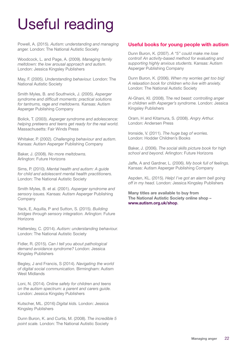# Useful reading

Powell, A. (2015). *Autism: understanding and managing anger.* London: The National Autistic Society

Woodcock, L. and Page, A. (2009). *Managing family meltdown: the low arousal approach and autism.*  London: Jessica Kingsley Publishers

May, F. (2005). *Understanding behaviour.* London: The National Autistic Society

Smith Myles, B. and Southwick, J. (2005). *Asperger syndrome and difficult moments: practical solutions for tantrums, rage and meltdowns.* Kansas: Autism Asperger Publishing Company

Bolick, T. (2003). *Asperger syndrome and adolescence: helping preteens and teens get ready for the real world.*  Massachusetts: Fair Winds Press

Whitaker, P. (2002). *Challenging behaviour and autism.*  Kansas: Autism Asperger Publishing Company

Baker, J. (2008). *No more meltdowns.* Arlington: Future Horizons

Sims, P. (2010). *Mental health and autism: A guide for child and adolescent mental health practitioners.*  London: The National Autistic Society

Smith Myles, B. et al. (2001). *Asperger syndrome and sensory issues.* Kansas: Autism Asperger Publishing Company

Yack, E, Aquilla, P and Sutton, S. (2015). *Building bridges through sensory integration.* Arlington: Future **Horizons** 

Hattersley, C. (2014). *Autism: understanding behaviour.*  London: The National Autistic Society

Fidler, R. (2015). *Can I tell you about pathological demand avoidance syndrome?* London: Jessica Kingsley Publishers

Begley, J and Francis, S (2014). *Navigating the world of digital social communication.* Birmingham: Autism West Midlands

Loni, N. (2014). *Online safety for children and teens on the autism spectrum: a parent and carers guide.*  London: Jessica Kingsley Publishers

Kutscher, ML. (2016) *Digital kids.* London: Jessica Kingsley Publishers

Dunn Buron, K. and Curtis, M. (2008). *The incredible 5 point scale.* London: The National Autistic Society

#### **Useful books for young people with autism**

Dunn Buron, K. (2007). *A "5" could make me lose control! An activity-based method for evaluating and supporting highly anxious students.* Kansas: Autism Asperger Publishing Company

Dunn Buron, K. (2006). *When my worries get too big! A relaxation book for children who live with anxiety.*  London: The National Autistic Society

Al-Ghani, KI. (2008). T*he red beast: controlling anger in children with Asperger's syndrome.* London: Jessica Kingsley Publishers

Oram, H and Kitamura, S. (2008). *Angry Arthur.*  London: Andersen Press

Ironside, V. (2011). *The huge bag of worries.* London: Hodder Children's Books

Baker, J. (2006). *The social skills picture book for high school and beyond.* Arlington: Future Horizons

Jaffe, A and Gardner, L. (2006). *My book full of feelings.* Kansas: Autism Asperger Publishing Company

Aspden, KL. (2015). *Help! I've got an alarm bell going off in my head.* London: Jessica Kingsley Publishers

**Many titles are available to buy from The National Autistic Society online shop – www.autism.org.uk/shop**.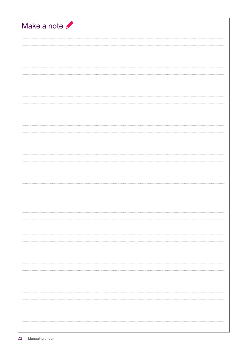| Make a note |
|-------------|
|             |
|             |
|             |
|             |
|             |
|             |
|             |
|             |
|             |
|             |
|             |
|             |
|             |
|             |
|             |
|             |
|             |
|             |
|             |
|             |
|             |
|             |
|             |
|             |
|             |
|             |